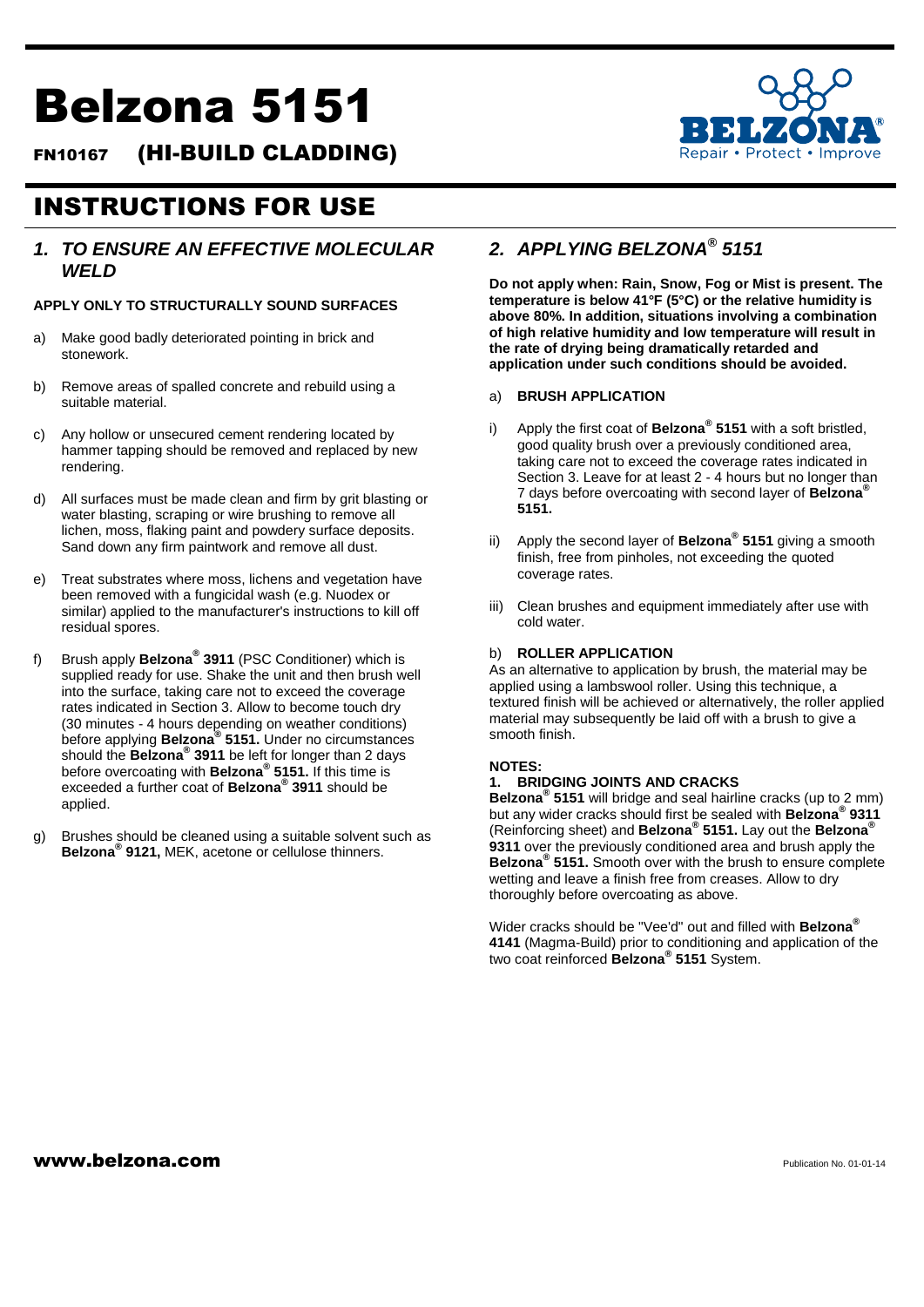# Belzona 5151

FN10167 (HI-BUILD CLADDING)



## INSTRUCTIONS FOR USE

## *1. TO ENSURE AN EFFECTIVE MOLECULAR WELD*

## **APPLY ONLY TO STRUCTURALLY SOUND SURFACES**

- a) Make good badly deteriorated pointing in brick and stonework.
- b) Remove areas of spalled concrete and rebuild using a suitable material.
- c) Any hollow or unsecured cement rendering located by hammer tapping should be removed and replaced by new rendering.
- d) All surfaces must be made clean and firm by grit blasting or water blasting, scraping or wire brushing to remove all lichen, moss, flaking paint and powdery surface deposits. Sand down any firm paintwork and remove all dust.
- e) Treat substrates where moss, lichens and vegetation have been removed with a fungicidal wash (e.g. Nuodex or similar) applied to the manufacturer's instructions to kill off residual spores.
- f) Brush apply **Belzona® 3911** (PSC Conditioner) which is supplied ready for use. Shake the unit and then brush well into the surface, taking care not to exceed the coverage rates indicated in Section 3. Allow to become touch dry (30 minutes - 4 hours depending on weather conditions) before applying **Belzona® 5151.** Under no circumstances should the **Belzona® 3911** be left for longer than 2 days before overcoating with **Belzona® 5151.** If this time is exceeded a further coat of **Belzona® 3911** should be applied.
- g) Brushes should be cleaned using a suitable solvent such as **Belzona® 9121,** MEK, acetone or cellulose thinners.

## *2. APPLYING BELZONA® 5151*

**Do not apply when: Rain, Snow, Fog or Mist is present. The temperature is below 41°F (5°C) or the relative humidity is above 80%. In addition, situations involving a combination of high relative humidity and low temperature will result in the rate of drying being dramatically retarded and application under such conditions should be avoided.**

### a) **BRUSH APPLICATION**

- i) Apply the first coat of **Belzona® 5151** with a soft bristled, good quality brush over a previously conditioned area, taking care not to exceed the coverage rates indicated in Section 3. Leave for at least 2 - 4 hours but no longer than 7 days before overcoating with second layer of **Belzona® 5151.**
- ii) Apply the second layer of **Belzona® 5151** giving a smooth finish, free from pinholes, not exceeding the quoted coverage rates.
- iii) Clean brushes and equipment immediately after use with cold water.

## b) **ROLLER APPLICATION**

As an alternative to application by brush, the material may be applied using a lambswool roller. Using this technique, a textured finish will be achieved or alternatively, the roller applied material may subsequently be laid off with a brush to give a smooth finish.

## **NOTES:**

## **1. BRIDGING JOINTS AND CRACKS**

**Belzona® 5151** will bridge and seal hairline cracks (up to 2 mm) but any wider cracks should first be sealed with **Belzona® 9311**  (Reinforcing sheet) and **Belzona® 5151.** Lay out the **Belzona® 9311** over the previously conditioned area and brush apply the **Belzona® 5151.** Smooth over with the brush to ensure complete wetting and leave a finish free from creases. Allow to dry thoroughly before overcoating as above.

Wider cracks should be "Vee'd" out and filled with **Belzona® 4141** (Magma-Build) prior to conditioning and application of the two coat reinforced **Belzona® 5151** System.